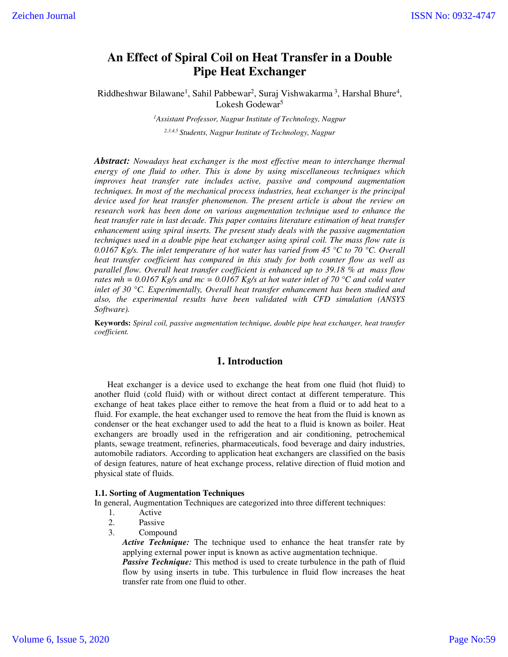# **An Effect of Spiral Coil on Heat Transfer in a Double Pipe Heat Exchanger**

Riddheshwar Bilawane<sup>1</sup>, Sahil Pabbewar<sup>2</sup>, Suraj Vishwakarma<sup>3</sup>, Harshal Bhure<sup>4</sup>, Lokesh Godewar<sup>5</sup>

> *<sup>1</sup>Assistant Professor, Nagpur Institute of Technology, Nagpur 2,3,4,5 Students, Nagpur Institute of Technology, Nagpur*

*Abstract: Nowadays heat exchanger is the most effective mean to interchange thermal energy of one fluid to other. This is done by using miscellaneous techniques which improves heat transfer rate includes active, passive and compound augmentation techniques. In most of the mechanical process industries, heat exchanger is the principal device used for heat transfer phenomenon. The present article is about the review on research work has been done on various augmentation technique used to enhance the heat transfer rate in last decade. This paper contains literature estimation of heat transfer enhancement using spiral inserts. The present study deals with the passive augmentation techniques used in a double pipe heat exchanger using spiral coil. The mass flow rate is 0.0167 Kg/s. The inlet temperature of hot water has varied from 45 °C to 70 °C. Overall heat transfer coefficient has compared in this study for both counter flow as well as parallel flow. Overall heat transfer coefficient is enhanced up to 39.18 % at mass flow rates mh* = 0.0167 Kg/s and mc = 0.0167 Kg/s at hot water inlet of 70 °C and cold water *inlet of 30 °C. Experimentally, Overall heat transfer enhancement has been studied and also, the experimental results have been validated with CFD simulation (ANSYS Software).* 

**Keywords:** *Spiral coil, passive augmentation technique, double pipe heat exchanger, heat transfer coefficient.* 

### **1. Introduction**

 Heat exchanger is a device used to exchange the heat from one fluid (hot fluid) to another fluid (cold fluid) with or without direct contact at different temperature. This exchange of heat takes place either to remove the heat from a fluid or to add heat to a fluid. For example, the heat exchanger used to remove the heat from the fluid is known as condenser or the heat exchanger used to add the heat to a fluid is known as boiler. Heat exchangers are broadly used in the refrigeration and air conditioning, petrochemical plants, sewage treatment, refineries, pharmaceuticals, food beverage and dairy industries, automobile radiators. According to application heat exchangers are classified on the basis of design features, nature of heat exchange process, relative direction of fluid motion and physical state of fluids.

#### **1.1. Sorting of Augmentation Techniques**

In general, Augmentation Techniques are categorized into three different techniques:

- 1. Active
- 2. Passive
- 3. Compound

*Active Technique:* The technique used to enhance the heat transfer rate by applying external power input is known as active augmentation technique.

*Passive Technique:* This method is used to create turbulence in the path of fluid flow by using inserts in tube. This turbulence in fluid flow increases the heat transfer rate from one fluid to other.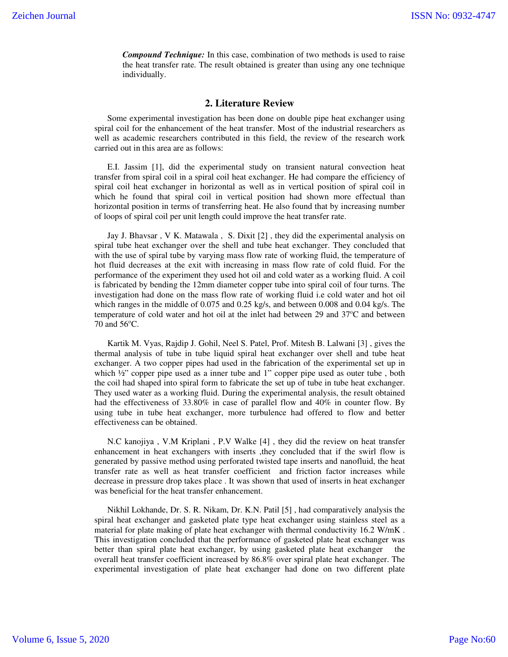*Compound Technique:* In this case, combination of two methods is used to raise the heat transfer rate. The result obtained is greater than using any one technique individually.

#### **2. Literature Review**

 Some experimental investigation has been done on double pipe heat exchanger using spiral coil for the enhancement of the heat transfer. Most of the industrial researchers as well as academic researchers contributed in this field, the review of the research work carried out in this area are as follows:

 E.I. Jassim [1], did the experimental study on transient natural convection heat transfer from spiral coil in a spiral coil heat exchanger. He had compare the efficiency of spiral coil heat exchanger in horizontal as well as in vertical position of spiral coil in which he found that spiral coil in vertical position had shown more effectual than horizontal position in terms of transferring heat. He also found that by increasing number of loops of spiral coil per unit length could improve the heat transfer rate.

 Jay J. Bhavsar , V K. Matawala , S. Dixit [2] , they did the experimental analysis on spiral tube heat exchanger over the shell and tube heat exchanger. They concluded that with the use of spiral tube by varying mass flow rate of working fluid, the temperature of hot fluid decreases at the exit with increasing in mass flow rate of cold fluid. For the performance of the experiment they used hot oil and cold water as a working fluid. A coil is fabricated by bending the 12mm diameter copper tube into spiral coil of four turns. The investigation had done on the mass flow rate of working fluid i.e cold water and hot oil which ranges in the middle of 0.075 and 0.25 kg/s, and between 0.008 and 0.04 kg/s. The temperature of cold water and hot oil at the inlet had between  $29$  and  $37^{\circ}$ C and between 70 and  $56^{\circ}$ C.

 Kartik M. Vyas, Rajdip J. Gohil, Neel S. Patel, Prof. Mitesh B. Lalwani [3] , gives the thermal analysis of tube in tube liquid spiral heat exchanger over shell and tube heat exchanger. A two copper pipes had used in the fabrication of the experimental set up in which  $\frac{1}{2}$ " copper pipe used as a inner tube and 1" copper pipe used as outer tube, both the coil had shaped into spiral form to fabricate the set up of tube in tube heat exchanger. They used water as a working fluid. During the experimental analysis, the result obtained had the effectiveness of 33.80% in case of parallel flow and 40% in counter flow. By using tube in tube heat exchanger, more turbulence had offered to flow and better effectiveness can be obtained.

 N.C kanojiya , V.M Kriplani , P.V Walke [4] , they did the review on heat transfer enhancement in heat exchangers with inserts ,they concluded that if the swirl flow is generated by passive method using perforated twisted tape inserts and nanofluid, the heat transfer rate as well as heat transfer coefficient and friction factor increases while decrease in pressure drop takes place . It was shown that used of inserts in heat exchanger was beneficial for the heat transfer enhancement.

 Nikhil Lokhande, Dr. S. R. Nikam, Dr. K.N. Patil [5] , had comparatively analysis the spiral heat exchanger and gasketed plate type heat exchanger using stainless steel as a material for plate making of plate heat exchanger with thermal conductivity 16.2 W/mK . This investigation concluded that the performance of gasketed plate heat exchanger was better than spiral plate heat exchanger, by using gasketed plate heat exchanger the overall heat transfer coefficient increased by 86.8% over spiral plate heat exchanger. The experimental investigation of plate heat exchanger had done on two different plate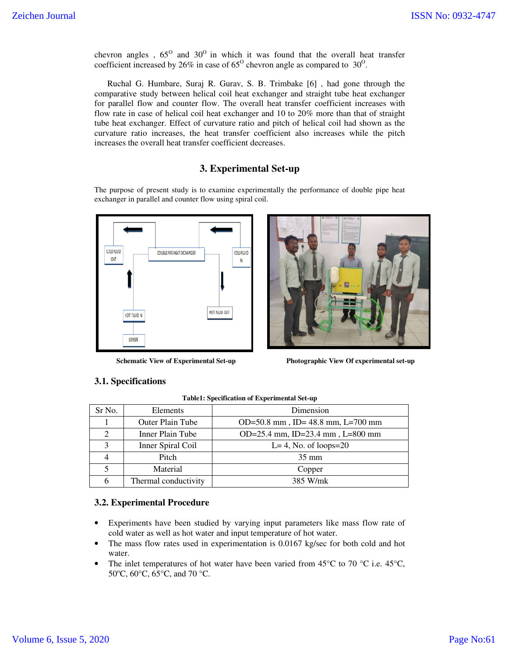chevron angles,  $65^{\circ}$  and  $30^{\circ}$  in which it was found that the overall heat transfer coefficient increased by 26% in case of  $65^{\circ}$  chevron angle as compared to 30<sup>o</sup>.

 Ruchal G. Humbare, Suraj R. Gurav, S. B. Trimbake [6] , had gone through the comparative study between helical coil heat exchanger and straight tube heat exchanger for parallel flow and counter flow. The overall heat transfer coefficient increases with flow rate in case of helical coil heat exchanger and 10 to 20% more than that of straight tube heat exchanger. Effect of curvature ratio and pitch of helical coil had shown as the curvature ratio increases, the heat transfer coefficient also increases while the pitch increases the overall heat transfer coefficient decreases.

## **3. Experimental Set-up**

The purpose of present study is to examine experimentally the performance of double pipe heat exchanger in parallel and counter flow using spiral coil.





**Schematic View of Experimental Set-up Photographic View Of experimental set-up** 

# **3.1. Specifications**

| Sr No.                      | Elements                | Dimension                           |
|-----------------------------|-------------------------|-------------------------------------|
|                             | <b>Outer Plain Tube</b> | OD=50.8 mm, ID= $48.8$ mm, L=700 mm |
| $\mathcal{D}_{\mathcal{L}}$ | Inner Plain Tube        | OD=25.4 mm, ID=23.4 mm, L=800 mm    |
| 2                           | Inner Spiral Coil       | $L=4$ , No. of loops=20             |
|                             | Pitch                   | $35 \text{ mm}$                     |
|                             | Material                | Copper                              |
| 6                           | Thermal conductivity    | 385 W/mk                            |

**Table1: Specification of Experimental Set-up**

### **3.2. Experimental Procedure**

- Experiments have been studied by varying input parameters like mass flow rate of cold water as well as hot water and input temperature of hot water.
- The mass flow rates used in experimentation is 0.0167 kg/sec for both cold and hot water.
- The inlet temperatures of hot water have been varied from 45 $\degree$ C to 70  $\degree$ C i.e. 45 $\degree$ C, 50°C, 60°C, 65°C, and 70 °C.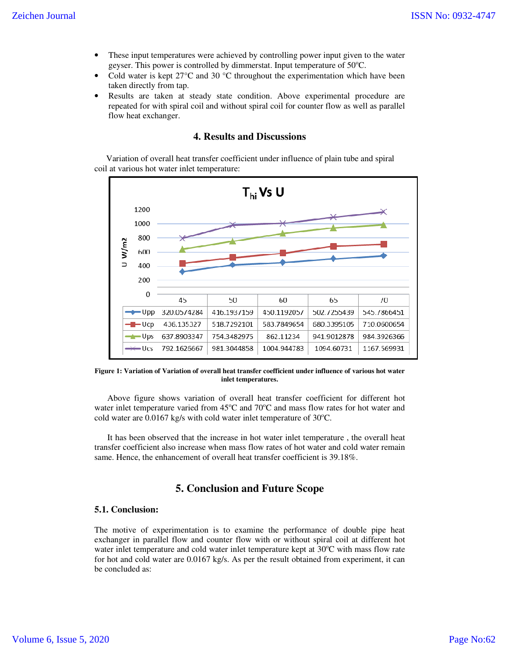- These input temperatures were achieved by controlling power input given to the water geyser. This power is controlled by dimmerstat. Input temperature of  $50^{\circ}$ C.
- Cold water is kept  $27^{\circ}$ C and  $30^{\circ}$ C throughout the experimentation which have been taken directly from tap.
- Results are taken at steady state condition. Above experimental procedure are repeated for with spiral coil and without spiral coil for counter flow as well as parallel flow heat exchanger.

# **4. Results and Discussions**

 Variation of overall heat transfer coefficient under influence of plain tube and spiral coil at various hot water inlet temperature:



**Figure 1: Variation of Variation of overall heat transfer coefficient under influence of various hot water inlet temperatures.** 

 Above figure shows variation of overall heat transfer coefficient for different hot water inlet temperature varied from 45°C and 70°C and mass flow rates for hot water and cold water are  $0.0167$  kg/s with cold water inlet temperature of  $30^{\circ}$ C.

 It has been observed that the increase in hot water inlet temperature , the overall heat transfer coefficient also increase when mass flow rates of hot water and cold water remain same. Hence, the enhancement of overall heat transfer coefficient is 39.18%.

# **5. Conclusion and Future Scope**

#### **5.1. Conclusion:**

The motive of experimentation is to examine the performance of double pipe heat exchanger in parallel flow and counter flow with or without spiral coil at different hot water inlet temperature and cold water inlet temperature kept at  $30^{\circ}$ C with mass flow rate for hot and cold water are 0.0167 kg/s. As per the result obtained from experiment, it can be concluded as: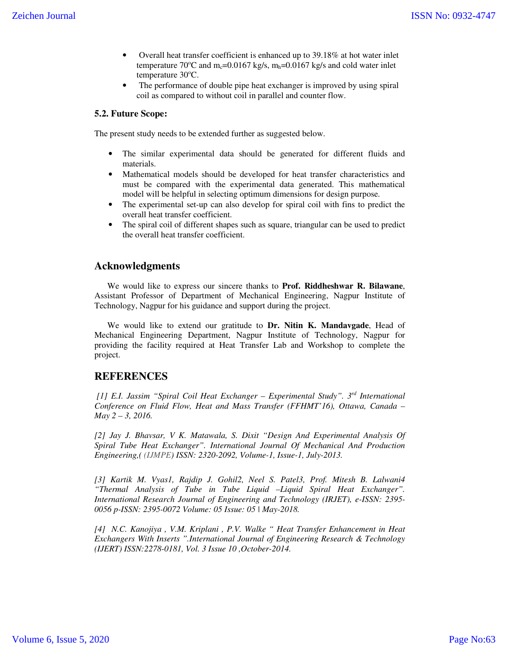- Overall heat transfer coefficient is enhanced up to 39.18% at hot water inlet temperature 70 $^{\circ}$ C and m<sub>c</sub>=0.0167 kg/s, m<sub>h</sub>=0.0167 kg/s and cold water inlet temperature  $30^{\circ}$ C.
- The performance of double pipe heat exchanger is improved by using spiral coil as compared to without coil in parallel and counter flow.

## **5.2. Future Scope:**

The present study needs to be extended further as suggested below.

- The similar experimental data should be generated for different fluids and materials.
- Mathematical models should be developed for heat transfer characteristics and must be compared with the experimental data generated. This mathematical model will be helpful in selecting optimum dimensions for design purpose.
- The experimental set-up can also develop for spiral coil with fins to predict the overall heat transfer coefficient.
- The spiral coil of different shapes such as square, triangular can be used to predict the overall heat transfer coefficient.

# **Acknowledgments**

 We would like to express our sincere thanks to **Prof. Riddheshwar R. Bilawane**, Assistant Professor of Department of Mechanical Engineering, Nagpur Institute of Technology, Nagpur for his guidance and support during the project.

 We would like to extend our gratitude to **Dr. Nitin K. Mandavgade**, Head of Mechanical Engineering Department, Nagpur Institute of Technology, Nagpur for providing the facility required at Heat Transfer Lab and Workshop to complete the project.

# **REFERENCES**

 *[1] E.I. Jassim "Spiral Coil Heat Exchanger – Experimental Study". 3rd International Conference on Fluid Flow, Heat and Mass Transfer (FFHMT'16), Ottawa, Canada – May 2 – 3, 2016.* 

*[2] Jay J. Bhavsar, V K. Matawala, S. Dixit "Design And Experimental Analysis Of Spiral Tube Heat Exchanger". International Journal Of Mechanical And Production Engineering,( (IJMPE) ISSN: 2320-2092, Volume-1, Issue-1, July-2013.* 

*[3] Kartik M. Vyas1, Rajdip J. Gohil2, Neel S. Patel3, Prof. Mitesh B. Lalwani4 "Thermal Analysis of Tube in Tube Liquid –Liquid Spiral Heat Exchanger". International Research Journal of Engineering and Technology (IRJET), e-ISSN: 2395- 0056 p-ISSN: 2395-0072 Volume: 05 Issue: 05 | May-2018.* 

*[4] N.C. Kanojiya , V.M. Kriplani , P.V. Walke " Heat Transfer Enhancement in Heat Exchangers With Inserts ".International Journal of Engineering Research & Technology (IJERT) ISSN:2278-0181, Vol. 3 Issue 10 ,October-2014.*